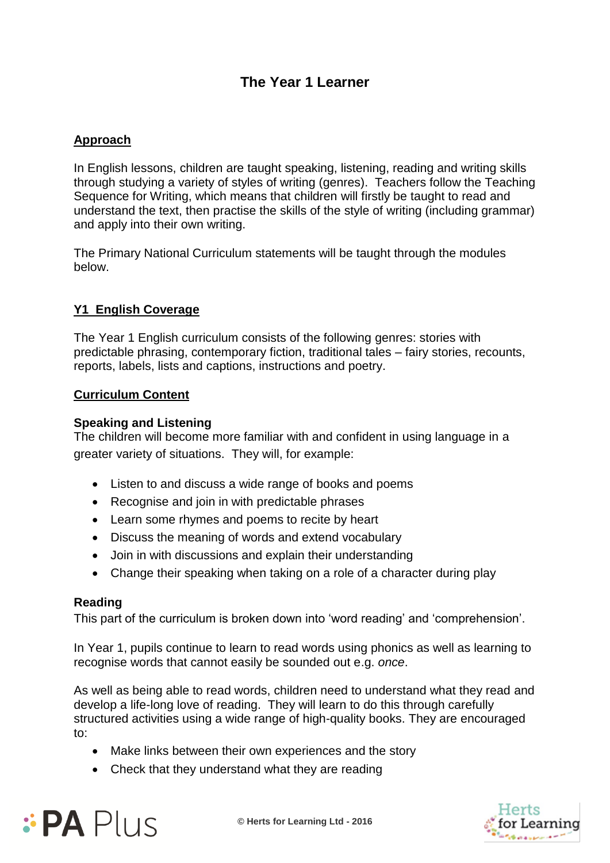# **The Year 1 Learner**

# **Approach**

In English lessons, children are taught speaking, listening, reading and writing skills through studying a variety of styles of writing (genres). Teachers follow the Teaching Sequence for Writing, which means that children will firstly be taught to read and understand the text, then practise the skills of the style of writing (including grammar) and apply into their own writing.

The Primary National Curriculum statements will be taught through the modules below.

# **Y1 English Coverage**

The Year 1 English curriculum consists of the following genres: stories with predictable phrasing, contemporary fiction, traditional tales – fairy stories, recounts, reports, labels, lists and captions, instructions and poetry.

## **Curriculum Content**

#### **Speaking and Listening**

The children will become more familiar with and confident in using language in a greater variety of situations. They will, for example:

- Listen to and discuss a wide range of books and poems
- Recognise and join in with predictable phrases
- Learn some rhymes and poems to recite by heart
- Discuss the meaning of words and extend vocabulary
- Join in with discussions and explain their understanding
- Change their speaking when taking on a role of a character during play

## **Reading**

This part of the curriculum is broken down into 'word reading' and 'comprehension'.

In Year 1, pupils continue to learn to read words using phonics as well as learning to recognise words that cannot easily be sounded out e.g. *once*.

As well as being able to read words, children need to understand what they read and develop a life-long love of reading. They will learn to do this through carefully structured activities using a wide range of high-quality books. They are encouraged to:

- Make links between their own experiences and the story
- Check that they understand what they are reading